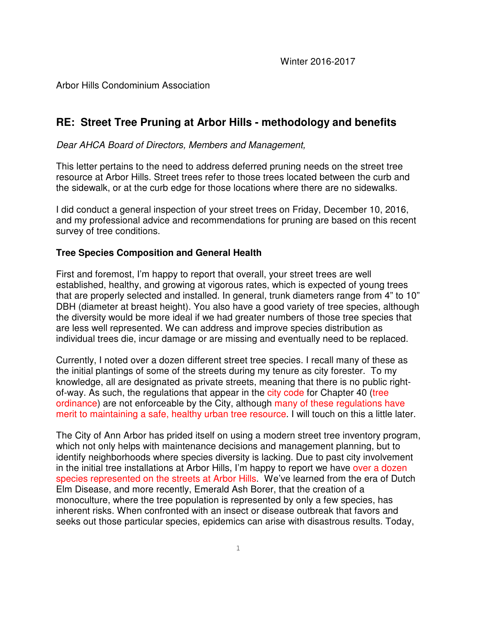## Arbor Hills Condominium Association

# **RE: Street Tree Pruning at Arbor Hills - methodology and benefits**

Dear AHCA Board of Directors, Members and Management,

This letter pertains to the need to address deferred pruning needs on the street tree resource at Arbor Hills. Street trees refer to those trees located between the curb and the sidewalk, or at the curb edge for those locations where there are no sidewalks.

I did conduct a general inspection of your street trees on Friday, December 10, 2016, and my professional advice and recommendations for pruning are based on this recent survey of tree conditions.

## **Tree Species Composition and General Health**

First and foremost, I'm happy to report that overall, your street trees are well established, healthy, and growing at vigorous rates, which is expected of young trees that are properly selected and installed. In general, trunk diameters range from 4" to 10" DBH (diameter at breast height). You also have a good variety of tree species, although the diversity would be more ideal if we had greater numbers of those tree species that are less well represented. We can address and improve species distribution as individual trees die, incur damage or are missing and eventually need to be replaced.

Currently, I noted over a dozen different street tree species. I recall many of these as the initial plantings of some of the streets during my tenure as city forester. To my knowledge, all are designated as private streets, meaning that there is no public rightof-way. As such, the regulations that appear in the city code for Chapter 40 (tree ordinance) are not enforceable by the City, although many of these regulations have merit to maintaining a safe, healthy urban tree resource. I will touch on this a little later.

The City of Ann Arbor has prided itself on using a modern street tree inventory program, which not only helps with maintenance decisions and management planning, but to identify neighborhoods where species diversity is lacking. Due to past city involvement in the initial tree installations at Arbor Hills, I'm happy to report we have over a dozen species represented on the streets at Arbor Hills. We've learned from the era of Dutch Elm Disease, and more recently, Emerald Ash Borer, that the creation of a monoculture, where the tree population is represented by only a few species, has inherent risks. When confronted with an insect or disease outbreak that favors and seeks out those particular species, epidemics can arise with disastrous results. Today,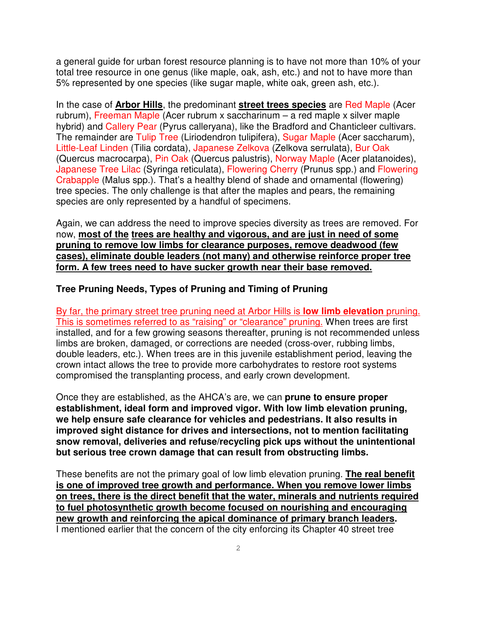a general guide for urban forest resource planning is to have not more than 10% of your total tree resource in one genus (like maple, oak, ash, etc.) and not to have more than 5% represented by one species (like sugar maple, white oak, green ash, etc.).

In the case of **Arbor Hills**, the predominant **street trees species** are Red Maple (Acer rubrum), Freeman Maple (Acer rubrum x saccharinum – a red maple x silver maple hybrid) and Callery Pear (Pyrus calleryana), like the Bradford and Chanticleer cultivars. The remainder are Tulip Tree (Liriodendron tulipifera), Sugar Maple (Acer saccharum), Little-Leaf Linden (Tilia cordata), Japanese Zelkova (Zelkova serrulata), Bur Oak (Quercus macrocarpa), Pin Oak (Quercus palustris), Norway Maple (Acer platanoides), Japanese Tree Lilac (Syringa reticulata), Flowering Cherry (Prunus spp.) and Flowering Crabapple (Malus spp.). That's a healthy blend of shade and ornamental (flowering) tree species. The only challenge is that after the maples and pears, the remaining species are only represented by a handful of specimens.

Again, we can address the need to improve species diversity as trees are removed. For now, **most of the trees are healthy and vigorous, and are just in need of some pruning to remove low limbs for clearance purposes, remove deadwood (few cases), eliminate double leaders (not many) and otherwise reinforce proper tree form. A few trees need to have sucker growth near their base removed.** 

### **Tree Pruning Needs, Types of Pruning and Timing of Pruning**

By far, the primary street tree pruning need at Arbor Hills is **low limb elevation** pruning. This is sometimes referred to as "raising" or "clearance" pruning. When trees are first installed, and for a few growing seasons thereafter, pruning is not recommended unless limbs are broken, damaged, or corrections are needed (cross-over, rubbing limbs, double leaders, etc.). When trees are in this juvenile establishment period, leaving the crown intact allows the tree to provide more carbohydrates to restore root systems compromised the transplanting process, and early crown development.

Once they are established, as the AHCA's are, we can **prune to ensure proper establishment, ideal form and improved vigor. With low limb elevation pruning, we help ensure safe clearance for vehicles and pedestrians. It also results in improved sight distance for drives and intersections, not to mention facilitating snow removal, deliveries and refuse/recycling pick ups without the unintentional but serious tree crown damage that can result from obstructing limbs.**

These benefits are not the primary goal of low limb elevation pruning. **The real benefit is one of improved tree growth and performance. When you remove lower limbs on trees, there is the direct benefit that the water, minerals and nutrients required to fuel photosynthetic growth become focused on nourishing and encouraging new growth and reinforcing the apical dominance of primary branch leaders.**  I mentioned earlier that the concern of the city enforcing its Chapter 40 street tree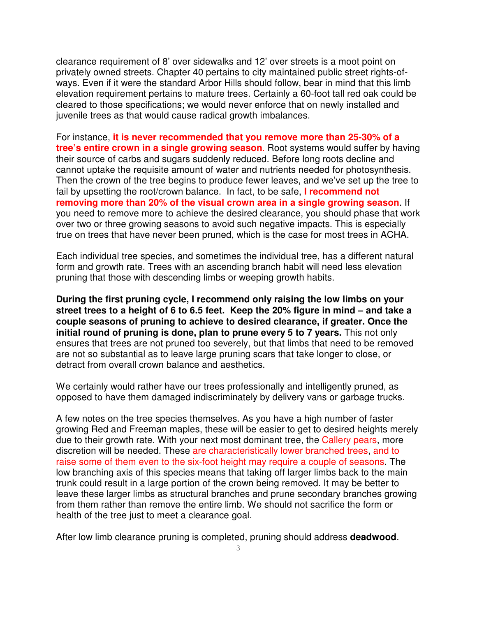clearance requirement of 8' over sidewalks and 12' over streets is a moot point on privately owned streets. Chapter 40 pertains to city maintained public street rights-ofways. Even if it were the standard Arbor Hills should follow, bear in mind that this limb elevation requirement pertains to mature trees. Certainly a 60-foot tall red oak could be cleared to those specifications; we would never enforce that on newly installed and juvenile trees as that would cause radical growth imbalances.

For instance, **it is never recommended that you remove more than 25-30% of a tree's entire crown in a single growing season**. Root systems would suffer by having their source of carbs and sugars suddenly reduced. Before long roots decline and cannot uptake the requisite amount of water and nutrients needed for photosynthesis. Then the crown of the tree begins to produce fewer leaves, and we've set up the tree to fail by upsetting the root/crown balance. In fact, to be safe, **I recommend not removing more than 20% of the visual crown area in a single growing season**. If you need to remove more to achieve the desired clearance, you should phase that work over two or three growing seasons to avoid such negative impacts. This is especially true on trees that have never been pruned, which is the case for most trees in ACHA.

Each individual tree species, and sometimes the individual tree, has a different natural form and growth rate. Trees with an ascending branch habit will need less elevation pruning that those with descending limbs or weeping growth habits.

**During the first pruning cycle, I recommend only raising the low limbs on your street trees to a height of 6 to 6.5 feet. Keep the 20% figure in mind – and take a couple seasons of pruning to achieve to desired clearance, if greater. Once the initial round of pruning is done, plan to prune every 5 to 7 years.** This not only ensures that trees are not pruned too severely, but that limbs that need to be removed are not so substantial as to leave large pruning scars that take longer to close, or detract from overall crown balance and aesthetics.

We certainly would rather have our trees professionally and intelligently pruned, as opposed to have them damaged indiscriminately by delivery vans or garbage trucks.

A few notes on the tree species themselves. As you have a high number of faster growing Red and Freeman maples, these will be easier to get to desired heights merely due to their growth rate. With your next most dominant tree, the Callery pears, more discretion will be needed. These are characteristically lower branched trees, and to raise some of them even to the six-foot height may require a couple of seasons. The low branching axis of this species means that taking off larger limbs back to the main trunk could result in a large portion of the crown being removed. It may be better to leave these larger limbs as structural branches and prune secondary branches growing from them rather than remove the entire limb. We should not sacrifice the form or health of the tree just to meet a clearance goal.

After low limb clearance pruning is completed, pruning should address **deadwood**.